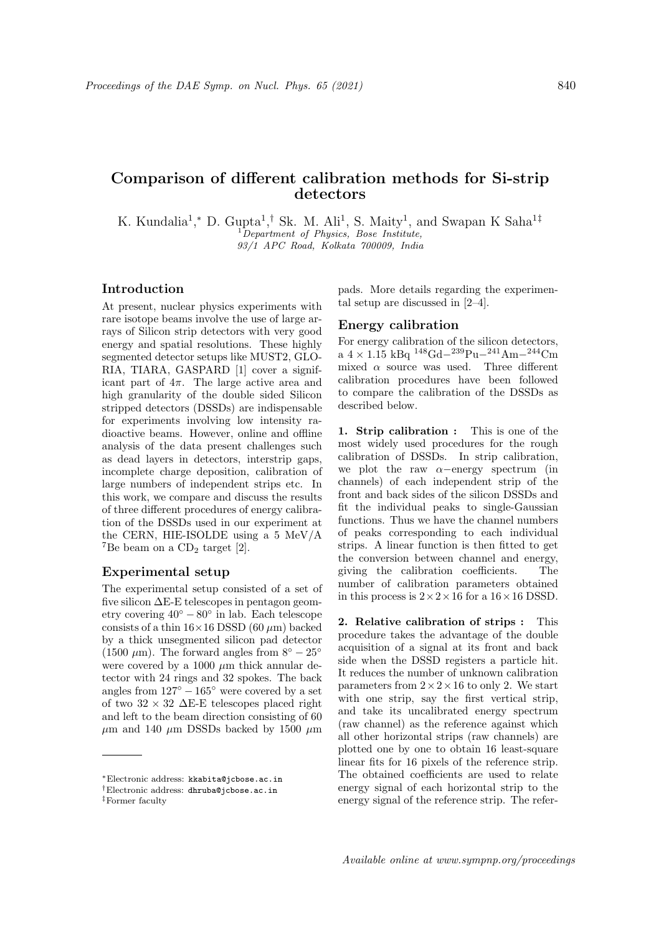# Comparison of different calibration methods for Si-strip detectors

K. Kundalia<sup>1</sup>,\* D. Gupta<sup>1</sup>,<sup>†</sup> Sk. M. Ali<sup>1</sup>, S. Maity<sup>1</sup>, and Swapan K Saha<sup>1‡</sup>  ${}^{1}$ Department of Physics, Bose Institute, 93/1 APC Road, Kolkata 700009, India

## Introduction

At present, nuclear physics experiments with rare isotope beams involve the use of large arrays of Silicon strip detectors with very good energy and spatial resolutions. These highly segmented detector setups like MUST2, GLO-RIA, TIARA, GASPARD [1] cover a significant part of  $4\pi$ . The large active area and high granularity of the double sided Silicon stripped detectors (DSSDs) are indispensable for experiments involving low intensity radioactive beams. However, online and offline analysis of the data present challenges such as dead layers in detectors, interstrip gaps, incomplete charge deposition, calibration of large numbers of independent strips etc. In this work, we compare and discuss the results of three different procedures of energy calibration of the DSSDs used in our experiment at the CERN, HIE-ISOLDE using a 5 MeV/A <sup>7</sup>Be beam on a  $CD_2$  target [2].

#### Experimental setup

The experimental setup consisted of a set of five silicon ∆E-E telescopes in pentagon geometry covering  $40^{\circ} - 80^{\circ}$  in lab. Each telescope consists of a thin  $16\times16$  DSSD (60  $\mu$ m) backed by a thick unsegmented silicon pad detector (1500  $\mu$ m). The forward angles from  $8^\circ - 25^\circ$ were covered by a 1000  $\mu$ m thick annular detector with 24 rings and 32 spokes. The back angles from  $127^\circ - 165^\circ$  were covered by a set of two  $32 \times 32$   $\Delta E$ -E telescopes placed right and left to the beam direction consisting of 60  $\mu$ m and 140  $\mu$ m DSSDs backed by 1500  $\mu$ m pads. More details regarding the experimental setup are discussed in [2–4].

### Energy calibration

For energy calibration of the silicon detectors, a 4 × 1.15 kBq  $148$ Gd− $239$ Pu− $241$ Am− $244$ Cm mixed  $\alpha$  source was used. Three different calibration procedures have been followed to compare the calibration of the DSSDs as described below.

1. Strip calibration : This is one of the most widely used procedures for the rough calibration of DSSDs. In strip calibration, we plot the raw  $\alpha$ −energy spectrum (in channels) of each independent strip of the front and back sides of the silicon DSSDs and fit the individual peaks to single-Gaussian functions. Thus we have the channel numbers of peaks corresponding to each individual strips. A linear function is then fitted to get the conversion between channel and energy, giving the calibration coefficients. The number of calibration parameters obtained in this process is  $2 \times 2 \times 16$  for a  $16 \times 16$  DSSD.

2. Relative calibration of strips : This procedure takes the advantage of the double acquisition of a signal at its front and back side when the DSSD registers a particle hit. It reduces the number of unknown calibration parameters from  $2 \times 2 \times 16$  to only 2. We start with one strip, say the first vertical strip, and take its uncalibrated energy spectrum (raw channel) as the reference against which all other horizontal strips (raw channels) are plotted one by one to obtain 16 least-square linear fits for 16 pixels of the reference strip. The obtained coefficients are used to relate energy signal of each horizontal strip to the energy signal of the reference strip. The refer-

<sup>∗</sup>Electronic address: kkabita@jcbose.ac.in

<sup>†</sup>Electronic address: dhruba@jcbose.ac.in

<sup>‡</sup>Former faculty